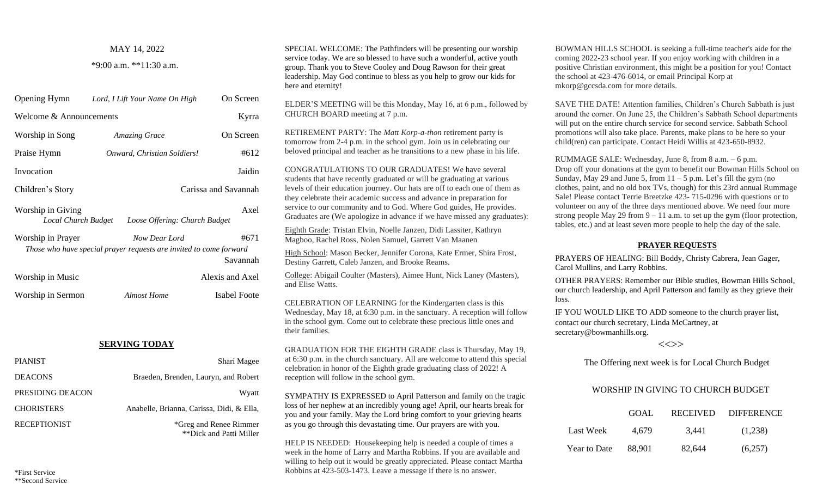### MAY 14, 2022

#### \*9:00 a.m. \*\*11:30 a.m.

| Opening Hymn                                                                      | On Screen<br>Lord, I Lift Your Name On High                                         |                      |  |  |
|-----------------------------------------------------------------------------------|-------------------------------------------------------------------------------------|----------------------|--|--|
| Welcome & Announcements                                                           | Kyrra                                                                               |                      |  |  |
| Worship in Song                                                                   | <b>Amazing Grace</b>                                                                | On Screen            |  |  |
| Praise Hymn                                                                       | Onward, Christian Soldiers!                                                         | #612                 |  |  |
| Invocation                                                                        |                                                                                     | Jaidin               |  |  |
| Children's Story                                                                  |                                                                                     | Carissa and Savannah |  |  |
| Axel<br>Worship in Giving<br>Loose Offering: Church Budget<br>Local Church Budget |                                                                                     |                      |  |  |
| Worship in Prayer                                                                 | Now Dear Lord<br>Those who have special prayer requests are invited to come forward | #671<br>Savannah     |  |  |
| Worship in Music                                                                  |                                                                                     | Alexis and Axel      |  |  |
| Worship in Sermon                                                                 | <b>Almost Home</b>                                                                  | Isabel Foote         |  |  |

# **SERVING TODAY**

| <b>PIANIST</b>      | Shari Magee                                       |
|---------------------|---------------------------------------------------|
| <b>DEACONS</b>      | Braeden, Brenden, Lauryn, and Robert              |
| PRESIDING DEACON    | Wyatt                                             |
| <b>CHORISTERS</b>   | Anabelle, Brianna, Carissa, Didi, & Ella,         |
| <b>RECEPTIONIST</b> | *Greg and Renee Rimmer<br>**Dick and Patti Miller |

SPECIAL WELCOME: The Pathfinders will be presenting our worship service today. We are so blessed to have such a wonderful, active youth group. Thank you to Steve Cooley and Doug Rawson for their great leadership. May God continue to bless as you help to grow our kids for here and eternity!

ELDER'S MEETING will be this Monday, May 16, at 6 p.m., followed by CHURCH BOARD meeting at 7 p.m.

RETIREMENT PARTY: The *Matt Korp-a-thon* retirement party is tomorrow from 2-4 p.m. in the school gym. Join us in celebrating our beloved principal and teacher as he transitions to a new phase in his life.

CONGRATULATIONS TO OUR GRADUATES! We have several students that have recently graduated or will be graduating at various levels of their education journey. Our hats are off to each one of them as they celebrate their academic success and advance in preparation for service to our community and to God. Where God guides, He provides. Graduates are (We apologize in advance if we have missed any graduates):

Eighth Grade: Tristan Elvin, Noelle Janzen, Didi Lassiter, Kathryn Magboo, Rachel Ross, Nolen Samuel, Garrett Van Maanen

High School: Mason Becker, Jennifer Corona, Kate Ermer, Shira Frost, Destiny Garrett, Caleb Janzen, and Brooke Reams.

College: Abigail Coulter (Masters), Aimee Hunt, Nick Laney (Masters), and Elise Watts.

CELEBRATION OF LEARNING for the Kindergarten class is this Wednesday, May 18, at 6:30 p.m. in the sanctuary. A reception will follow in the school gym. Come out to celebrate these precious little ones and their families.

GRADUATION FOR THE EIGHTH GRADE class is Thursday, May 19, at 6:30 p.m. in the church sanctuary. All are welcome to attend this special celebration in honor of the Eighth grade graduating class of 2022! A reception will follow in the school gym.

SYMPATHY IS EXPRESSED to April Patterson and family on the tragic loss of her nephew at an incredibly young age! April, our hearts break for you and your family. May the Lord bring comfort to your grieving hearts as you go through this devastating time. Our prayers are with you.

HELP IS NEEDED: Housekeeping help is needed a couple of times a week in the home of Larry and Martha Robbins. If you are available and willing to help out it would be greatly appreciated. Please contact Martha Robbins at 423-503-1473. Leave a message if there is no answer.

BOWMAN HILLS SCHOOL is seeking a full-time teacher's aide for the coming 2022-23 school year. If you enjoy working with children in a positive Christian environment, this might be a position for you! Contact the school at 423-476-6014, or email Principal Korp at mkorp@gccsda.com for more details.

SAVE THE DATE! Attention families, Children's Church Sabbath is just around the corner. On June 25, the Children's Sabbath School departments will put on the entire church service for second service. Sabbath School promotions will also take place. Parents, make plans to be here so your child(ren) can participate. Contact Heidi Willis at 423-650-8932.

RUMMAGE SALE: Wednesday, June 8, from 8 a.m. – 6 p.m. Drop off your donations at the gym to benefit our Bowman Hills School on Sunday, May 29 and June 5, from  $11 - 5$  p.m. Let's fill the gym (no clothes, paint, and no old box TVs, though) for this 23rd annual Rummage Sale! Please contact Terrie Breetzke 423- 715-0296 with questions or to volunteer on any of the three days mentioned above. We need four more strong people May 29 from  $9 - 11$  a.m. to set up the gym (floor protection, tables, etc.) and at least seven more people to help the day of the sale.

## **PRAYER REQUESTS**

PRAYERS OF HEALING: Bill Boddy, Christy Cabrera, Jean Gager, Carol Mullins, and Larry Robbins.

OTHER PRAYERS: Remember our Bible studies, Bowman Hills School, our church leadership, and April Patterson and family as they grieve their loss.

IF YOU WOULD LIKE TO ADD someone to the church prayer list, contact our church secretary, Linda McCartney, at secretary@bowmanhills.org.

# $\left\langle \left\langle \right\rangle \right\rangle$

The Offering next week is for Local Church Budget

# WORSHIP IN GIVING TO CHURCH BUDGET

|              | GOAL.  | <b>RECEIVED</b> | <b>DIFFERENCE</b> |
|--------------|--------|-----------------|-------------------|
| Last Week    | 4.679  | 3.441           | (1,238)           |
| Year to Date | 88.901 | 82.644          | (6,257)           |